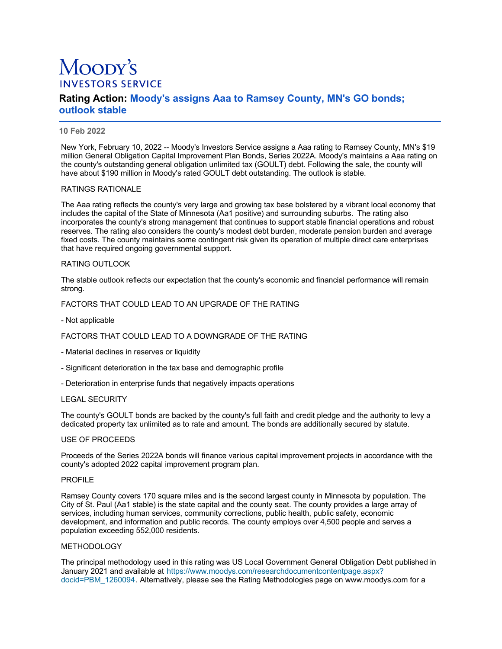# Moopy's **INVESTORS SERVICE**

# **Rating Action: Moody's assigns Aaa to Ramsey County, MN's GO bonds; outlook stable**

#### **10 Feb 2022**

New York, February 10, 2022 -- Moody's Investors Service assigns a Aaa rating to Ramsey County, MN's \$19 million General Obligation Capital Improvement Plan Bonds, Series 2022A. Moody's maintains a Aaa rating on the county's outstanding general obligation unlimited tax (GOULT) debt. Following the sale, the county will have about \$190 million in Moody's rated GOULT debt outstanding. The outlook is stable.

#### RATINGS RATIONALE

The Aaa rating reflects the county's very large and growing tax base bolstered by a vibrant local economy that includes the capital of the State of Minnesota (Aa1 positive) and surrounding suburbs. The rating also incorporates the county's strong management that continues to support stable financial operations and robust reserves. The rating also considers the county's modest debt burden, moderate pension burden and average fixed costs. The county maintains some contingent risk given its operation of multiple direct care enterprises that have required ongoing governmental support.

## RATING OUTLOOK

The stable outlook reflects our expectation that the county's economic and financial performance will remain strong.

## FACTORS THAT COULD LEAD TO AN UPGRADE OF THE RATING

- Not applicable

FACTORS THAT COULD LEAD TO A DOWNGRADE OF THE RATING

- Material declines in reserves or liquidity
- Significant deterioration in the tax base and demographic profile
- Deterioration in enterprise funds that negatively impacts operations

#### LEGAL SECURITY

The county's GOULT bonds are backed by the county's full faith and credit pledge and the authority to levy a dedicated property tax unlimited as to rate and amount. The bonds are additionally secured by statute.

#### USE OF PROCEEDS

Proceeds of the Series 2022A bonds will finance various capital improvement projects in accordance with the county's adopted 2022 capital improvement program plan.

#### PROFILE

Ramsey County covers 170 square miles and is the second largest county in Minnesota by population. The City of St. Paul (Aa1 stable) is the state capital and the county seat. The county provides a large array of services, including human services, community corrections, public health, public safety, economic development, and information and public records. The county employs over 4,500 people and serves a population exceeding 552,000 residents.

#### METHODOLOGY

The principal methodology used in this rating was US Local Government General Obligation Debt published in [January 2021 and available at https://www.moodys.com/researchdocumentcontentpage.aspx?](https://www.moodys.com/researchdocumentcontentpage.aspx?docid=PBM_1260094) docid=PBM\_1260094. Alternatively, please see the Rating Methodologies page on www.moodys.com for a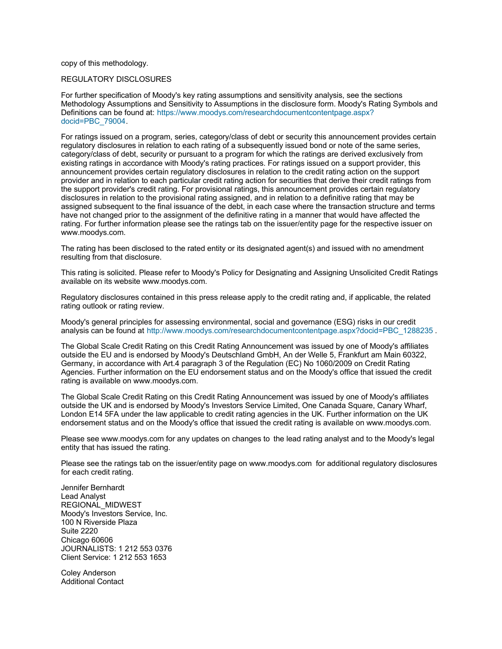copy of this methodology.

#### REGULATORY DISCLOSURES

For further specification of Moody's key rating assumptions and sensitivity analysis, see the sections Methodology Assumptions and Sensitivity to Assumptions in the disclosure form. Moody's Rating Symbols and [Definitions can be found at: https://www.moodys.com/researchdocumentcontentpage.aspx?](https://www.moodys.com/researchdocumentcontentpage.aspx?docid=PBC_79004) docid=PBC\_79004.

For ratings issued on a program, series, category/class of debt or security this announcement provides certain regulatory disclosures in relation to each rating of a subsequently issued bond or note of the same series, category/class of debt, security or pursuant to a program for which the ratings are derived exclusively from existing ratings in accordance with Moody's rating practices. For ratings issued on a support provider, this announcement provides certain regulatory disclosures in relation to the credit rating action on the support provider and in relation to each particular credit rating action for securities that derive their credit ratings from the support provider's credit rating. For provisional ratings, this announcement provides certain regulatory disclosures in relation to the provisional rating assigned, and in relation to a definitive rating that may be assigned subsequent to the final issuance of the debt, in each case where the transaction structure and terms have not changed prior to the assignment of the definitive rating in a manner that would have affected the rating. For further information please see the ratings tab on the issuer/entity page for the respective issuer on www.moodys.com.

The rating has been disclosed to the rated entity or its designated agent(s) and issued with no amendment resulting from that disclosure.

This rating is solicited. Please refer to Moody's Policy for Designating and Assigning Unsolicited Credit Ratings available on its website www.moodys.com.

Regulatory disclosures contained in this press release apply to the credit rating and, if applicable, the related rating outlook or rating review.

Moody's general principles for assessing environmental, social and governance (ESG) risks in our credit analysis can be found at [http://www.moodys.com/researchdocumentcontentpage.aspx?docid=PBC\\_1288235](http://www.moodys.com/researchdocumentcontentpage.aspx?docid=PBC_1288235).

The Global Scale Credit Rating on this Credit Rating Announcement was issued by one of Moody's affiliates outside the EU and is endorsed by Moody's Deutschland GmbH, An der Welle 5, Frankfurt am Main 60322, Germany, in accordance with Art.4 paragraph 3 of the Regulation (EC) No 1060/2009 on Credit Rating Agencies. Further information on the EU endorsement status and on the Moody's office that issued the credit rating is available on www.moodys.com.

The Global Scale Credit Rating on this Credit Rating Announcement was issued by one of Moody's affiliates outside the UK and is endorsed by Moody's Investors Service Limited, One Canada Square, Canary Wharf, London E14 5FA under the law applicable to credit rating agencies in the UK. Further information on the UK endorsement status and on the Moody's office that issued the credit rating is available on www.moodys.com.

Please see www.moodys.com for any updates on changes to the lead rating analyst and to the Moody's legal entity that has issued the rating.

Please see the ratings tab on the issuer/entity page on www.moodys.com for additional regulatory disclosures for each credit rating.

Jennifer Bernhardt Lead Analyst REGIONAL\_MIDWEST Moody's Investors Service, Inc. 100 N Riverside Plaza Suite 2220 Chicago 60606 JOURNALISTS: 1 212 553 0376 Client Service: 1 212 553 1653

Coley Anderson Additional Contact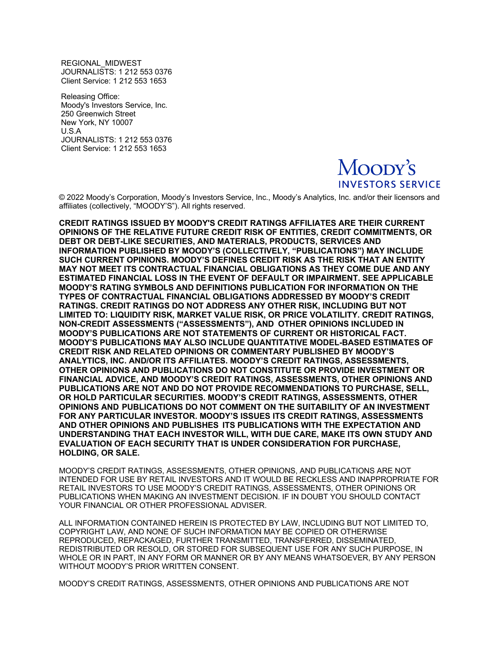REGIONAL\_MIDWEST JOURNALISTS: 1 212 553 0376 Client Service: 1 212 553 1653

Releasing Office: Moody's Investors Service, Inc. 250 Greenwich Street New York, NY 10007 U.S.A JOURNALISTS: 1 212 553 0376 Client Service: 1 212 553 1653



© 2022 Moody's Corporation, Moody's Investors Service, Inc., Moody's Analytics, Inc. and/or their licensors and affiliates (collectively, "MOODY'S"). All rights reserved.

**CREDIT RATINGS ISSUED BY MOODY'S CREDIT RATINGS AFFILIATES ARE THEIR CURRENT OPINIONS OF THE RELATIVE FUTURE CREDIT RISK OF ENTITIES, CREDIT COMMITMENTS, OR DEBT OR DEBT-LIKE SECURITIES, AND MATERIALS, PRODUCTS, SERVICES AND INFORMATION PUBLISHED BY MOODY'S (COLLECTIVELY, "PUBLICATIONS") MAY INCLUDE SUCH CURRENT OPINIONS. MOODY'S DEFINES CREDIT RISK AS THE RISK THAT AN ENTITY MAY NOT MEET ITS CONTRACTUAL FINANCIAL OBLIGATIONS AS THEY COME DUE AND ANY ESTIMATED FINANCIAL LOSS IN THE EVENT OF DEFAULT OR IMPAIRMENT. SEE APPLICABLE MOODY'S RATING SYMBOLS AND DEFINITIONS PUBLICATION FOR INFORMATION ON THE TYPES OF CONTRACTUAL FINANCIAL OBLIGATIONS ADDRESSED BY MOODY'S CREDIT RATINGS. CREDIT RATINGS DO NOT ADDRESS ANY OTHER RISK, INCLUDING BUT NOT LIMITED TO: LIQUIDITY RISK, MARKET VALUE RISK, OR PRICE VOLATILITY. CREDIT RATINGS, NON-CREDIT ASSESSMENTS ("ASSESSMENTS"), AND OTHER OPINIONS INCLUDED IN MOODY'S PUBLICATIONS ARE NOT STATEMENTS OF CURRENT OR HISTORICAL FACT. MOODY'S PUBLICATIONS MAY ALSO INCLUDE QUANTITATIVE MODEL-BASED ESTIMATES OF CREDIT RISK AND RELATED OPINIONS OR COMMENTARY PUBLISHED BY MOODY'S ANALYTICS, INC. AND/OR ITS AFFILIATES. MOODY'S CREDIT RATINGS, ASSESSMENTS, OTHER OPINIONS AND PUBLICATIONS DO NOT CONSTITUTE OR PROVIDE INVESTMENT OR FINANCIAL ADVICE, AND MOODY'S CREDIT RATINGS, ASSESSMENTS, OTHER OPINIONS AND PUBLICATIONS ARE NOT AND DO NOT PROVIDE RECOMMENDATIONS TO PURCHASE, SELL, OR HOLD PARTICULAR SECURITIES. MOODY'S CREDIT RATINGS, ASSESSMENTS, OTHER OPINIONS AND PUBLICATIONS DO NOT COMMENT ON THE SUITABILITY OF AN INVESTMENT FOR ANY PARTICULAR INVESTOR. MOODY'S ISSUES ITS CREDIT RATINGS, ASSESSMENTS AND OTHER OPINIONS AND PUBLISHES ITS PUBLICATIONS WITH THE EXPECTATION AND UNDERSTANDING THAT EACH INVESTOR WILL, WITH DUE CARE, MAKE ITS OWN STUDY AND EVALUATION OF EACH SECURITY THAT IS UNDER CONSIDERATION FOR PURCHASE, HOLDING, OR SALE.** 

MOODY'S CREDIT RATINGS, ASSESSMENTS, OTHER OPINIONS, AND PUBLICATIONS ARE NOT INTENDED FOR USE BY RETAIL INVESTORS AND IT WOULD BE RECKLESS AND INAPPROPRIATE FOR RETAIL INVESTORS TO USE MOODY'S CREDIT RATINGS, ASSESSMENTS, OTHER OPINIONS OR PUBLICATIONS WHEN MAKING AN INVESTMENT DECISION. IF IN DOUBT YOU SHOULD CONTACT YOUR FINANCIAL OR OTHER PROFESSIONAL ADVISER.

ALL INFORMATION CONTAINED HEREIN IS PROTECTED BY LAW, INCLUDING BUT NOT LIMITED TO, COPYRIGHT LAW, AND NONE OF SUCH INFORMATION MAY BE COPIED OR OTHERWISE REPRODUCED, REPACKAGED, FURTHER TRANSMITTED, TRANSFERRED, DISSEMINATED, REDISTRIBUTED OR RESOLD, OR STORED FOR SUBSEQUENT USE FOR ANY SUCH PURPOSE, IN WHOLE OR IN PART, IN ANY FORM OR MANNER OR BY ANY MEANS WHATSOEVER, BY ANY PERSON WITHOUT MOODY'S PRIOR WRITTEN CONSENT.

MOODY'S CREDIT RATINGS, ASSESSMENTS, OTHER OPINIONS AND PUBLICATIONS ARE NOT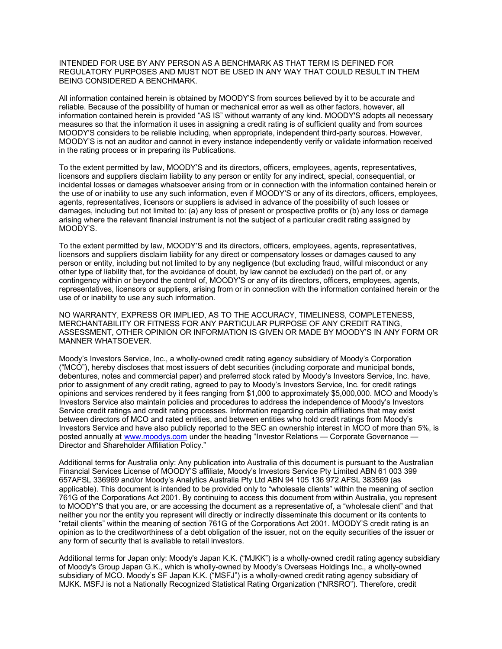INTENDED FOR USE BY ANY PERSON AS A BENCHMARK AS THAT TERM IS DEFINED FOR REGULATORY PURPOSES AND MUST NOT BE USED IN ANY WAY THAT COULD RESULT IN THEM BEING CONSIDERED A BENCHMARK.

All information contained herein is obtained by MOODY'S from sources believed by it to be accurate and reliable. Because of the possibility of human or mechanical error as well as other factors, however, all information contained herein is provided "AS IS" without warranty of any kind. MOODY'S adopts all necessary measures so that the information it uses in assigning a credit rating is of sufficient quality and from sources MOODY'S considers to be reliable including, when appropriate, independent third-party sources. However, MOODY'S is not an auditor and cannot in every instance independently verify or validate information received in the rating process or in preparing its Publications.

To the extent permitted by law, MOODY'S and its directors, officers, employees, agents, representatives, licensors and suppliers disclaim liability to any person or entity for any indirect, special, consequential, or incidental losses or damages whatsoever arising from or in connection with the information contained herein or the use of or inability to use any such information, even if MOODY'S or any of its directors, officers, employees, agents, representatives, licensors or suppliers is advised in advance of the possibility of such losses or damages, including but not limited to: (a) any loss of present or prospective profits or (b) any loss or damage arising where the relevant financial instrument is not the subject of a particular credit rating assigned by MOODY'S.

To the extent permitted by law, MOODY'S and its directors, officers, employees, agents, representatives, licensors and suppliers disclaim liability for any direct or compensatory losses or damages caused to any person or entity, including but not limited to by any negligence (but excluding fraud, willful misconduct or any other type of liability that, for the avoidance of doubt, by law cannot be excluded) on the part of, or any contingency within or beyond the control of, MOODY'S or any of its directors, officers, employees, agents, representatives, licensors or suppliers, arising from or in connection with the information contained herein or the use of or inability to use any such information.

NO WARRANTY, EXPRESS OR IMPLIED, AS TO THE ACCURACY, TIMELINESS, COMPLETENESS, MERCHANTABILITY OR FITNESS FOR ANY PARTICULAR PURPOSE OF ANY CREDIT RATING, ASSESSMENT, OTHER OPINION OR INFORMATION IS GIVEN OR MADE BY MOODY'S IN ANY FORM OR MANNER WHATSOEVER.

Moody's Investors Service, Inc., a wholly-owned credit rating agency subsidiary of Moody's Corporation ("MCO"), hereby discloses that most issuers of debt securities (including corporate and municipal bonds, debentures, notes and commercial paper) and preferred stock rated by Moody's Investors Service, Inc. have, prior to assignment of any credit rating, agreed to pay to Moody's Investors Service, Inc. for credit ratings opinions and services rendered by it fees ranging from \$1,000 to approximately \$5,000,000. MCO and Moody's Investors Service also maintain policies and procedures to address the independence of Moody's Investors Service credit ratings and credit rating processes. Information regarding certain affiliations that may exist between directors of MCO and rated entities, and between entities who hold credit ratings from Moody's Investors Service and have also publicly reported to the SEC an ownership interest in MCO of more than 5%, is posted annually at [www.moodys.com](http://www.moodys.com/) under the heading "Investor Relations — Corporate Governance — Director and Shareholder Affiliation Policy."

Additional terms for Australia only: Any publication into Australia of this document is pursuant to the Australian Financial Services License of MOODY'S affiliate, Moody's Investors Service Pty Limited ABN 61 003 399 657AFSL 336969 and/or Moody's Analytics Australia Pty Ltd ABN 94 105 136 972 AFSL 383569 (as applicable). This document is intended to be provided only to "wholesale clients" within the meaning of section 761G of the Corporations Act 2001. By continuing to access this document from within Australia, you represent to MOODY'S that you are, or are accessing the document as a representative of, a "wholesale client" and that neither you nor the entity you represent will directly or indirectly disseminate this document or its contents to "retail clients" within the meaning of section 761G of the Corporations Act 2001. MOODY'S credit rating is an opinion as to the creditworthiness of a debt obligation of the issuer, not on the equity securities of the issuer or any form of security that is available to retail investors.

Additional terms for Japan only: Moody's Japan K.K. ("MJKK") is a wholly-owned credit rating agency subsidiary of Moody's Group Japan G.K., which is wholly-owned by Moody's Overseas Holdings Inc., a wholly-owned subsidiary of MCO. Moody's SF Japan K.K. ("MSFJ") is a wholly-owned credit rating agency subsidiary of MJKK. MSFJ is not a Nationally Recognized Statistical Rating Organization ("NRSRO"). Therefore, credit